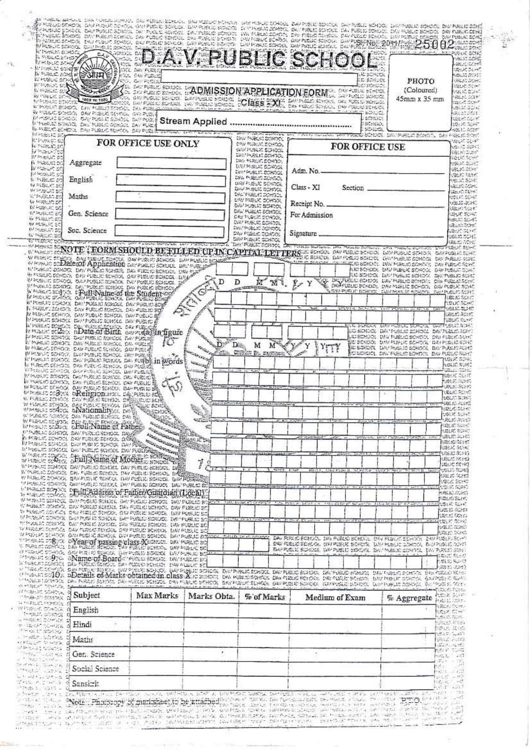| <b>CHURLES SENSEE</b><br>VAILLES DIST<br><b>ANGERSAL</b><br>中国語 经国家                                                                                                                               | рурствено векост студитовно заноми внут<br>201000                                                                                                                                                                                                                    | D.A.V. PUBLIC SCHOOL                                                                                                                                                                                                                                            |                            |                                                                 |                                                              |                                                                                                                              |                  |                                                                                                         | painting and provided at the state of                  |                                                        | <b>HELPUSINE GOISC</b><br>MALIC CORE<br><b>REACTIVE</b><br>SEARC SAMP |  |
|---------------------------------------------------------------------------------------------------------------------------------------------------------------------------------------------------|----------------------------------------------------------------------------------------------------------------------------------------------------------------------------------------------------------------------------------------------------------------------|-----------------------------------------------------------------------------------------------------------------------------------------------------------------------------------------------------------------------------------------------------------------|----------------------------|-----------------------------------------------------------------|--------------------------------------------------------------|------------------------------------------------------------------------------------------------------------------------------|------------------|---------------------------------------------------------------------------------------------------------|--------------------------------------------------------|--------------------------------------------------------|-----------------------------------------------------------------------|--|
| <b>PURLE BORNE</b><br>WHOSE SCHOOL<br>机回流光 蛇教                                                                                                                                                     | ें औरम् ध                                                                                                                                                                                                                                                            | 5000<br>DAV PUBLIC<br>FAV FUBLIC<br>我心,完全很快                                                                                                                                                                                                                     |                            |                                                                 |                                                              |                                                                                                                              |                  | NG BEROOK<br>LIL SEMPLE                                                                                 | <b>РНОТО</b>                                           |                                                        | ubilit SCA<br>GREEN CHE<br><b>SELICITIM</b>                           |  |
| <b>A PIZELIC STAR</b><br>经参数收益 计编辑语言                                                                                                                                                              | 400 TO 1000                                                                                                                                                                                                                                                          | <b>EXAMPLE SCHOOL DADMISSION APPLICATION FORM.</b>                                                                                                                                                                                                              |                            |                                                                 |                                                              |                                                                                                                              |                  |                                                                                                         | (Coloured)<br>45mm x 35 mm                             |                                                        | 9531 C C 247<br>vesses part<br>the street                             |  |
|                                                                                                                                                                                                   | WPURATORODOS CAN PUBLIC SCHOOL DAN FUBLICACIATION<br>W FOULD SCHOOL DAY FOULD SCHOOL GAV PLOU                                                                                                                                                                        |                                                                                                                                                                                                                                                                 |                            |                                                                 |                                                              |                                                                                                                              |                  | <b>BOSSE</b>                                                                                            |                                                        |                                                        | <b>LIKE SUB</b><br>18620404                                           |  |
|                                                                                                                                                                                                   | MANING BOROGE CAN PUBLIC SCHOOL DISTRIBUTE<br>WHOMAS INSIDE THE PUBLIC SCHOOL DAY FUEL<br>IN HURSLING SCHOOL IS AN PLAN OF REMOVAL DRIVE (ISSN                                                                                                                       |                                                                                                                                                                                                                                                                 |                            |                                                                 |                                                              |                                                                                                                              |                  | <b>BEASING</b><br>SSCHOOL<br>SC-10DL                                                                    |                                                        |                                                        | ualiento et<br>USE SE SONT<br>※指定 お母祭                                 |  |
| <b>MAGELE BO</b><br>in Poster an<br>Iv minure an                                                                                                                                                  |                                                                                                                                                                                                                                                                      | FOR OFFICE USE ONLY                                                                                                                                                                                                                                             |                            |                                                                 | DIV: PUBLIC DONDOL<br>CAV MIRS COMOOL                        |                                                                                                                              |                  | THIN SCHOOL DAY PUBLIC SAMOOL DAY MISLIC SCHO<br>FOR OFFICE USE                                         |                                                        |                                                        | WELFEL SECTION<br>USES 50-3                                           |  |
| W Hotel AT 20<br>新华地站的 的<br>p. Putnic 20                                                                                                                                                          | Aggregate                                                                                                                                                                                                                                                            |                                                                                                                                                                                                                                                                 |                            |                                                                 | GAV POSLIC SCHOOL<br>CONTRACTOR SCHOOL<br>Day PURCE SORDS:   |                                                                                                                              |                  |                                                                                                         |                                                        |                                                        | 108101120401<br><b>SOUTH ROAD</b><br>125020-00000                     |  |
| State of BC<br>program at<br>0. 14 (95.02.37)                                                                                                                                                     | English                                                                                                                                                                                                                                                              |                                                                                                                                                                                                                                                                 |                            |                                                                 | DRAM HELIC SCHOOL<br>THE PUBLIC SCHOOL<br>DIVE PUBLIC SCHOOL | Adm. No.                                                                                                                     |                  |                                                                                                         |                                                        |                                                        | URLIC DORE<br>VELIC ROW<br><b>USUS: 50-F.</b>                         |  |
| W 不是GAD 50<br>WORKERS ST<br>U. The M. 20, 20,                                                                                                                                                     | Maths                                                                                                                                                                                                                                                                |                                                                                                                                                                                                                                                                 |                            | <b>UNITABLE SCHOOL</b><br>DATHELS SORGE                         | grief Particult Scientific                                   | Class - XI                                                                                                                   | Section          |                                                                                                         |                                                        |                                                        | UESCACHE<br><b>SECRET</b>                                             |  |
| W HANDOO<br>BI FUSERI SG                                                                                                                                                                          |                                                                                                                                                                                                                                                                      |                                                                                                                                                                                                                                                                 |                            | DAY MIELK SCHOOL<br>DAV PUBLIC SCHOOL<br>DAY PUBLIC SONDEL      |                                                              | Receipt No.                                                                                                                  |                  |                                                                                                         |                                                        |                                                        | 0500 52-60<br>VELIC DOME<br><b>UELIC SCIE</b>                         |  |
| 经执照的部<br>W PUGLITZET<br>W PUBLIC SO                                                                                                                                                               | Gen. Science                                                                                                                                                                                                                                                         |                                                                                                                                                                                                                                                                 |                            | CAY PUBLIC SEVEDOR<br>DAY PUBLIC ECHOOL                         |                                                              | For Admission                                                                                                                |                  |                                                                                                         |                                                        |                                                        | <b>BUCSON</b><br>usuc sort.<br>ubiscours.                             |  |
| 04149532720<br>647676.00 SO                                                                                                                                                                       | Soc. Science                                                                                                                                                                                                                                                         |                                                                                                                                                                                                                                                                 |                            | DW PUBLIC SCHOOL<br>DAY PUBLIC CONDOL<br>EXAMPLES LIGHT SCHEDUL |                                                              | Signature                                                                                                                    |                  |                                                                                                         |                                                        |                                                        | <b>WELLS SEAR</b><br>USLIC SCHL<br>UBLIC NORC                         |  |
|                                                                                                                                                                                                   | WHERE SANOTE TORM SHOULD BE TILLED UP IN CAPITAL LETTERS & SEND, AN PUBLIC SCHOOL AND RESPONSE AND CONDUCT OF THE RESPONSE OF THE RESPONSE OF THE RESPONSE OF THE RESPONSE OF THE RESPONSE OF THE RESPONSE OF THE RESPONSE OF                                        |                                                                                                                                                                                                                                                                 |                            | THAT PRINTING CORPORA                                           |                                                              |                                                                                                                              |                  |                                                                                                         |                                                        |                                                        | <b>REAL REPORT</b><br><b>GAMESIGNE SCHOOL</b>                         |  |
|                                                                                                                                                                                                   | W PUBLIC BELOCAL DAY FUELD, COMPUT DAY PUBLIC SCHOOL DAY PUBLIC SCHOOL                                                                                                                                                                                               |                                                                                                                                                                                                                                                                 |                            |                                                                 |                                                              |                                                                                                                              |                  | AT REMOVE DAY FURLAT SEMINAL<br>LICECHOOL DAV PUBLIC SCHOOL                                             |                                                        | DAMPUSSIE SCAR                                         | 負傷 熱胞(点) 家がに<br>DAV PUES/CISERS                                       |  |
|                                                                                                                                                                                                   | WAGELE CONDIX DAVIELES CONDIX DAY PUBLIC SCHOOL ON EAR<br>WIPDSOR SERIOGL OWN PUBLIC SONORK. ENPIRARIO SCHOOL DR<br>A MARIA SCROOL DAN PERMA SCROOL DAY PUBLIC SCROOLS                                                                                               |                                                                                                                                                                                                                                                                 | ٢D                         | D                                                               | M,<br>M                                                      | مريخ                                                                                                                         |                  | LIC SCHOOL ENTIMATED SCHOOL<br>DRY WAKE GONNOIL DAVIPUBLIC BONDIE<br>DAY FUSED SCHOOL DAY PUBLIC SCHOOL |                                                        | <b>DAY FUELAN SONG</b><br><b>GAV PUBLIC SCHO</b>       | EAVING IC SCHO                                                        |  |
|                                                                                                                                                                                                   | Western sorton. Full Waine of the Student-out<br>IN PUBLIC SOFOOL ORD PUBLIC SONDOL DAY PUBLIC SONG!                                                                                                                                                                 |                                                                                                                                                                                                                                                                 | $\sqrt{G}$                 | <b>SACTOR COMPANY</b>                                           |                                                              |                                                                                                                              | SUM PURTE SCHOOL |                                                                                                         | CAN POSSE SCREENE                                      | お祝 物流活動変化                                              | 公式した らくさい<br><b>TELESCOPE</b>                                         |  |
|                                                                                                                                                                                                   | W POBLES SCHOOL DAY PUBLIC SCHOOL DAY PUBLIC SOM<br>n marka lokodi dan purlas kondol dan purlas sej<br>IV PLOHAC SCHOOL (DAV PUBLIC SOHOOL DAV PUBLIC SS                                                                                                             |                                                                                                                                                                                                                                                                 | A                          |                                                                 |                                                              |                                                                                                                              |                  |                                                                                                         |                                                        | TWAT PUBLIC GO-10                                      | 日記 ぬきのの                                                               |  |
|                                                                                                                                                                                                   | MANIFAC SCHOOL DAY FUBILE SCHOOL DAY PUBLIC.<br>WHERE SCROOL ON GALACTION DAYFUNCE                                                                                                                                                                                   |                                                                                                                                                                                                                                                                 |                            |                                                                 |                                                              |                                                                                                                              |                  | <b>LIL SWIMMS</b><br>al Schace                                                                          | <b><i>PMA Western primiter</i></b><br>DAMPUBLIC SCHOOL | WATER SEATS AND A<br>DAY PUBLIC SOM                    | <b>DESIGNO</b>                                                        |  |
|                                                                                                                                                                                                   | M MALLIC SENSOR, CHAMPSESS SCHOOL CHAMPSOLIS<br>IN MURLEO SCHOOL DAV MUSLEO SCHOOL DAL MURLEO                                                                                                                                                                        |                                                                                                                                                                                                                                                                 | D.                         | M<br>De.                                                        | M                                                            | Y                                                                                                                            |                  | KIRCHERL<br>IS SCHOOL<br>BE STROCK DAY PESSIO SCHOOL DAY PERSIONS C                                     | DAV PUBLIC SCHOOL<br>DAVISING SCHOOL                   | DAY FLEGS SONS<br>12:00 程度法院 拆送代                       |                                                                       |  |
|                                                                                                                                                                                                   | IN PARTIC SONDOLL DAN PUBLIC SLIGGEL QAV FUSILIB<br>MIRCEOS SOROCI, DAMPLISOS SOROCI, DAY PUBLIQ<br>iv Poetic science computer science no sureb) in words                                                                                                            |                                                                                                                                                                                                                                                                 |                            |                                                                 | 第六页字段                                                        |                                                                                                                              |                  | CERCHOOL DAN PUBLIC SONDOL DAY PUBLIC SCHO                                                              |                                                        |                                                        | 1.57 さつも、                                                             |  |
|                                                                                                                                                                                                   | W PUBLIC DEMOCR DAY FUBLIC ASHOOL DRIVELIAN<br>WPERFORMED STORY ON A PORT OF STATION. THAT PUBLICS<br>IN PLASTIC SOMOTIA DAVIS RELE SUMBOL OR SUBLIVITY                                                                                                              |                                                                                                                                                                                                                                                                 |                            |                                                                 |                                                              |                                                                                                                              |                  |                                                                                                         |                                                        |                                                        | <b>NAMAC SONC</b><br>55340<br><b>NASK 30.11</b>                       |  |
|                                                                                                                                                                                                   | IN MAKING SCHOOL, DAN PUBLIC SCHOOL ON FUBLIC SE                                                                                                                                                                                                                     | $c_{k,0}$                                                                                                                                                                                                                                                       | <b>REFERENCE</b><br>יינותם |                                                                 |                                                              |                                                                                                                              |                  |                                                                                                         |                                                        |                                                        | <b>NAME SOFT</b><br><b>SPLIC 36310</b><br><b>UBLIC SCHO</b>           |  |
|                                                                                                                                                                                                   | wromate coBook oReligionaria, and public ach<br>W PUBLIC SCHOOL CAVETER & RENOL ORIGINALS REPORT                                                                                                                                                                     |                                                                                                                                                                                                                                                                 |                            | wheel as prefered there to                                      |                                                              |                                                                                                                              |                  |                                                                                                         |                                                        |                                                        | 05237.30167<br>1912131310                                             |  |
|                                                                                                                                                                                                   | a public comez da firmo sumer on:<br>W MANG SENDOL DIN EIREN RENDULANZEN                                                                                                                                                                                             | <b>CONSTRUCTION CONSTRUCTION CONSTRUCTION</b>                                                                                                                                                                                                                   | <b>GRAN</b>                |                                                                 |                                                              |                                                                                                                              |                  |                                                                                                         |                                                        |                                                        | <b>IRLCSUR</b><br>UBLIC SCHO<br>(RCM) 30367                           |  |
|                                                                                                                                                                                                   | www.casasex oEulicName.et Pathers<br>IN PUBLIC CONSTO, DAN PUBLIC SCHOOL DAMAP<br>n parlag sehagi. Day purjue sehagi. Dangi                                                                                                                                          | <b>SCOOLS PIREMEDIATE</b><br><b>REGISTERATION</b>                                                                                                                                                                                                               |                            |                                                                 |                                                              |                                                                                                                              |                  |                                                                                                         |                                                        | SHOP SUBJECTS                                          | <b>LEAR SUIS</b><br>地名比尼 印印机                                          |  |
|                                                                                                                                                                                                   | Minister Sound, Devine is spend, Devise and the spend of the second in the spend of the spending of Middle in spending                                                                                                                                               | <b>Allegation Contract of Contract of Contract of Contract of Contract of Contract of Contract of Contract of Contract of Contract of Contract of Contract of Contract of Contract of Contract of Contract of Contract of Contra</b><br><b>MEDITELY HOLLOCK</b> | كال بناء لة                |                                                                 |                                                              |                                                                                                                              |                  |                                                                                                         |                                                        |                                                        | <b>LEO AG SCI AT</b><br><b>NUELIC SERIE</b><br>内出 化次六烷                |  |
|                                                                                                                                                                                                   | WHOUR SCHOOL DAY PURSED SCHOOL DAY PURLIC BOHDEY, DIGE                                                                                                                                                                                                               |                                                                                                                                                                                                                                                                 | 1.1                        |                                                                 |                                                              |                                                                                                                              |                  |                                                                                                         |                                                        |                                                        | (権法:5434)<br><b>UELIC SCHO</b>                                        |  |
|                                                                                                                                                                                                   | IN MIRLIC DONOR, DAVING IN SCHOOL DAY FUBLIC SCHOOL DIVERSITY<br>IN FIDELIC COROCK, GAMESING SCHOOL, THAT PUBLIC SCHOOL, DAY POSSESSES                                                                                                                               |                                                                                                                                                                                                                                                                 |                            |                                                                 |                                                              |                                                                                                                              |                  |                                                                                                         |                                                        | 医气候震颤 医血管                                              | 188130 50210<br>UBL/2 SUPR                                            |  |
|                                                                                                                                                                                                   | TA PANELIC SCHOOL CHARACTER SCHOOL DAY PUBLIC SCHOOL DAY PUBLIC SC<br>Western SZO STUDEN UNISS OF PALEW CONTOMIC (LOCAL)                                                                                                                                             |                                                                                                                                                                                                                                                                 |                            |                                                                 |                                                              |                                                                                                                              |                  |                                                                                                         |                                                        | POSIT STIFT<br>RESIDENCIAS<br><b>FRANCISCHE</b>        |                                                                       |  |
|                                                                                                                                                                                                   | W WARLIC SCHOOL CAMPUSING SCHOOL ANY PUBLIC SCHOOL ONLY PUBLIC ST.<br>r' maré como ciev fuelo somel da publicacho l'on public so<br>W PIRLIC SOMEOL ON FIREN STROOT, GO PUBLIC SCHOOL (INY PLUEDS ST                                                                 |                                                                                                                                                                                                                                                                 |                            | The Control and the Con-                                        |                                                              |                                                                                                                              |                  | side of the in the warrior. There is no of the con-                                                     |                                                        | 22.304.955 2000 10:00:00<br>521 IS 2015                |                                                                       |  |
|                                                                                                                                                                                                   | w para corporation in the corporation provided actively. Distribution assess<br>W MUSIC CONVOL DAY PUBLIC SONICE DAY FUZZO SCHOOL DAY PUBLIC SC                                                                                                                      |                                                                                                                                                                                                                                                                 |                            |                                                                 |                                                              |                                                                                                                              |                  |                                                                                                         |                                                        | tere fam<br><b>DOUGLE SCHO</b><br><b>heliat State</b>  |                                                                       |  |
|                                                                                                                                                                                                   | W PRESIDENTIAL ORVINEERD FORDEL DATE DEVELOP BORDON. LAW PUBLIC SO<br>W PUESA SCHOOL ON PUBLIC SCHOOL ON PUBLIC BOADOL IMP PUBLIC EDITOR - THEN THE APURES                                                                                                           |                                                                                                                                                                                                                                                                 |                            |                                                                 |                                                              | DAY PUSS C RONOOL DAY FURNO BONDOL CAV PUBLIC SCHOOL SAN RUSLESSON                                                           |                  |                                                                                                         |                                                        | 8,30130.5%240                                          |                                                                       |  |
|                                                                                                                                                                                                   | WHOULD DON'T DAVERFOR DESSING CHEES A BOHOD. DAY PUBLIC BO<br>U TAUL COURT, GRAND REGER BUY FUILD SOUCH LAVEUR TO SCENE<br>отельно водость о Name-of-Board от невые вожное собора во                                                                                 |                                                                                                                                                                                                                                                                 |                            |                                                                 |                                                              | 042 PUBLIC SERIOR, DAV PUBLIC SERIOR, DAV PUBLIC SCHOOL,<br>DAV PUBLIC SCHOOL DAVPLISHS SCHOOL DAV WELK SCHOOL DAVPLRED SCHO |                  |                                                                                                         |                                                        | <b>But Handist County</b><br>机动动机 电压机                  |                                                                       |  |
|                                                                                                                                                                                                   | W PARCED DOMOCY, DAY FURLIC SCHOOL, DAY PUDING HOMOG, DAY PUBLIC SC.<br>o "WALE SOMEOL DIN PUBLE SORAL DIV PUBLE SOROL DIN PUBLIC SCHOOL DIN PUBLIC SOROCL DIN PUBLIC SCHOOL DIN PUBLIC SOROCL DIN PUBLIC SOROCL                                                     |                                                                                                                                                                                                                                                                 |                            |                                                                 |                                                              |                                                                                                                              |                  |                                                                                                         |                                                        | 1518.526<br><b>RIS IS 3010</b><br>The Little Street    |                                                                       |  |
| WHISK CONTRACTOR                                                                                                                                                                                  | erres under 10% pDetails of Marks obtained in class & research aw was abouted aw make sense. Dw make sense, any make others.<br>" "WELL LOTHOOL DAN PHELIO BORTOL DAN MELIO SONDOL DAN MELIO SONDOR, GAVADELO SUHORI, GENALER SONDOR, WENA SONDOR, LUM PUBLIC SONDOR |                                                                                                                                                                                                                                                                 |                            |                                                                 |                                                              |                                                                                                                              |                  |                                                                                                         |                                                        | <b>在发展的想象的 Started</b><br>要以"色"是(S. 2019)<br>FOR A COL |                                                                       |  |
| <b>NAMES SOROLL</b><br>TEMBER ATT DESERTING.<br>WEELD SCHOOL                                                                                                                                      | Subject                                                                                                                                                                                                                                                              | Max Marks                                                                                                                                                                                                                                                       | Marks Obta.                |                                                                 | % of Marks                                                   |                                                                                                                              | Medium of Exam   |                                                                                                         | % Aggregate                                            | 初度(和) 法决断<br><b>西南北部部</b>                              |                                                                       |  |
| MAN BALLAS CROATER<br>threads protects.                                                                                                                                                           | English                                                                                                                                                                                                                                                              |                                                                                                                                                                                                                                                                 |                            |                                                                 |                                                              |                                                                                                                              |                  |                                                                                                         |                                                        | 経路水流の他<br><b>RESPECTIVE</b><br>TANCE SERA              |                                                                       |  |
| (中国語語) 高级研究所<br><b>BEACH SCHOOL</b><br>100 BLUE STATISTICS                                                                                                                                        | Hindi                                                                                                                                                                                                                                                                |                                                                                                                                                                                                                                                                 |                            |                                                                 |                                                              |                                                                                                                              |                  |                                                                                                         |                                                        | 机泡油加速机<br>有取出高品質<br>2時3年 (長春)                          |                                                                       |  |
| トールは、ここのこと<br><b>CASSIC STREET</b><br>PROJECTION                                                                                                                                                  | Maths                                                                                                                                                                                                                                                                |                                                                                                                                                                                                                                                                 |                            |                                                                 |                                                              |                                                                                                                              |                  |                                                                                                         |                                                        | New Post<br>(基本人) (相談)                                 |                                                                       |  |
| $\mathcal{N}^{\mathcal{N}}\left(\mathcal{N}_{\mathcal{N}_{\mathcal{N}}}\right)=\mathcal{N}_{\mathcal{N}_{\mathcal{N}}}\left(\mathcal{N}_{\mathcal{N}_{\mathcal{N}}}\right)$<br>Finder the control | Gen. Science                                                                                                                                                                                                                                                         |                                                                                                                                                                                                                                                                 | ٠                          |                                                                 |                                                              |                                                                                                                              |                  |                                                                                                         |                                                        | 長御す 命場<br>トベル にっぽ<br>ritar i S                         |                                                                       |  |
| <b>PAPPEL SOMETE</b><br>The column 1, 1999 C<br>to entitle a transaction                                                                                                                          | Social Science                                                                                                                                                                                                                                                       |                                                                                                                                                                                                                                                                 |                            |                                                                 |                                                              |                                                                                                                              |                  |                                                                                                         |                                                        | 株式会社<br>WELL-LIGHT<br>ton ff with                      |                                                                       |  |
| 2012年1月22日<br>1984 L. Sitt -                                                                                                                                                                      | Sansicrit<br>Constitutions on the those considerable to the activity to the entity. See this main of a second contract to a second contract to the constitution of the second                                                                                        |                                                                                                                                                                                                                                                                 |                            |                                                                 |                                                              |                                                                                                                              |                  |                                                                                                         |                                                        | 102.00 00<br>end" +217                                 |                                                                       |  |
| THERE INC.                                                                                                                                                                                        | enter it also avoir Photocopy of marksheet to be attached of the class for the companion of the second to be a<br>The class of the companion of the class which is the class which were the class of the class of the companion                                      |                                                                                                                                                                                                                                                                 |                            |                                                                 |                                                              |                                                                                                                              |                  |                                                                                                         |                                                        |                                                        |                                                                       |  |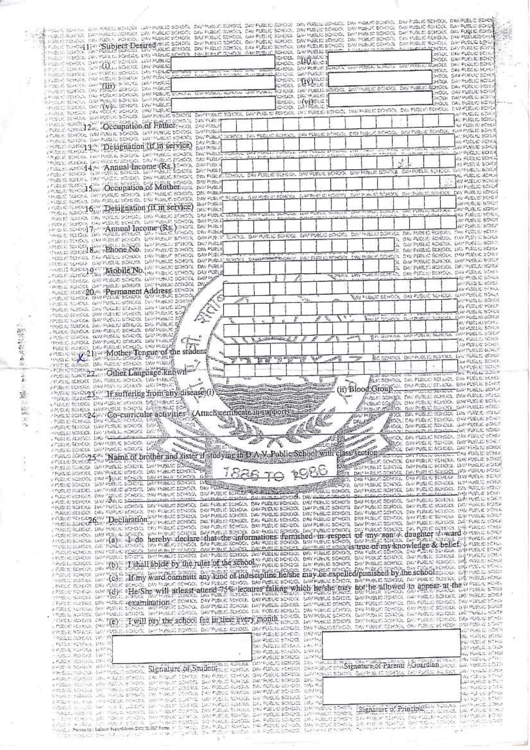| A MELIC SONTA LON PUBLI STAZIA LAN PUBLIC SCHOOL DALMUSIC SONOCI. DALMUSIC SONTA DAN PUBLIC SONOCI DAN PUBLIC SONOCI DANPUSLO SCHOOL DON PUBLIC SCHO<br>A HUBLIN SUITER. DAYS VIEWE COMMON DAY FURLID SOMONE ON COMONE, ON FUELLO BOMDON DAY PULL PORT SCHOOL DAY PUBLIC SOMOCI, DAY PUBLIC SOMOCI, DAY PUBLIC SOMOCI, DAY PUBLIC SOMOCI, DAY PUBLIC SOMOCI, DAY PUBLIC SOMOCI,<br>, consideration and character and the present school and public school and public species in the school and public school. On public school and public school                                                  |                                                                                                                           |                                                                                                                                                                    |                                                                                                                      |                                                                      |                                                                       |
|---------------------------------------------------------------------------------------------------------------------------------------------------------------------------------------------------------------------------------------------------------------------------------------------------------------------------------------------------------------------------------------------------------------------------------------------------------------------------------------------------------------------------------------------------------------------------------------------------|---------------------------------------------------------------------------------------------------------------------------|--------------------------------------------------------------------------------------------------------------------------------------------------------------------|----------------------------------------------------------------------------------------------------------------------|----------------------------------------------------------------------|-----------------------------------------------------------------------|
| FOR CITOLOGY 1344 "Subject Desired thic school but Pusua adroct, on Pusua school, on Pusua school on Pusua school. On Pusua school, on Pusua school<br>or and the complete the complete that we complete the complete the complete the complete the second the product the product the product of the complete the product of the complete the complete the complete the complete the                                                                                                                                                                                                             |                                                                                                                           |                                                                                                                                                                    |                                                                                                                      |                                                                      |                                                                       |
| PUES PRINCE DRI PUES IL SCHARE DRI PUBLIC BEROOI - (UN PRINCE CONOCI - ANDRES IL SCHOOL - S.W.POSLI) SCHOOL<br>POLICY SERVICE ORD PARTY SORROR LAW PUBLIC<br>POLICY ROBERT DID ONLY SORROR DIN PUBLIC                                                                                                                                                                                                                                                                                                                                                                                             | rerool announcer<br>rerool allamer<br>SIGHARIE DIN BREISE BEHEINE NAM GRIENE PUNKER AND ARREST ISLANDER. DAN PERMIC BREIS |                                                                                                                                                                    |                                                                                                                      | XHADIL OPE FURLIC BOTH<br>DIOCE, <i>QAUP</i> UBLIC SONO              |                                                                       |
| i njego kanka dre mento sorata navrajnao<br>y Fuel of School, Yan Fuel School, <i>Wat Pu</i> sito                                                                                                                                                                                                                                                                                                                                                                                                                                                                                                 | sees, aw Pasat a<br>CHOOL DIAQUALE E                                                                                      |                                                                                                                                                                    |                                                                                                                      | HOLL OAN FULLE FORD<br>HOOL GAVPLEUR BEFRY<br>INGOL DAY POBLIC SCIEN |                                                                       |
| <b>DIFFERENTIAL OR THIS STARS WAS MORE</b><br>THE RESIDENTIAL PARTICIPATION TO PUBLIC SCHOOL WAS ARRESTED FOR POINT AGRICUL ON PUBLIC SCHOOL DISTANCE SCHOOL DIVITIBLE SCHOOL DIVITABLE SCHOOL DIVITABLE SCHOOL                                                                                                                                                                                                                                                                                                                                                                                   |                                                                                                                           |                                                                                                                                                                    |                                                                                                                      | жео, рачкиядарст                                                     |                                                                       |
| THE SURVEY OF BUILDING INTERNATIONAL<br>PUSIC SCRISS DAY FOUND BONDY, LW PUBLIC<br>IF PUBLIC SERVOIR, AND POSSESS CHARGES CHOICE DRIVINGS SCHOOL DRIPUS SERVOIR, DRIPUSE SCHOOL DRIPUS DRIPUS IN SOROCH, DRIPUSE SCHOOL DRIPUSE SCHOOL                                                                                                                                                                                                                                                                                                                                                            | CHOO, 0444500                                                                                                             |                                                                                                                                                                    |                                                                                                                      | SYGOL TALINGER ROOM                                                  |                                                                       |
| PREDICTION 22. Occupation of Hattercon owners                                                                                                                                                                                                                                                                                                                                                                                                                                                                                                                                                     |                                                                                                                           |                                                                                                                                                                    |                                                                                                                      | AT PUBLIC SCHO<br>THE PUBLIC BRIDE                                   | ку един о села                                                        |
| PERSONAIRE DE PORTO SONOR DE PUBLIC SONOR QU'PUBLIC OCHOCI DE SIROK SONOR DEI PUBLIC SONOR DEI PUBLIC SONORE C<br>CARDIO SONORE DE L'EDESIGNATION (IE IN SETVICE) DAI PUBLIC DE L'EST DE L'EST DE L'EST DE L'EST DE L'EST DE L'E                                                                                                                                                                                                                                                                                                                                                                  |                                                                                                                           |                                                                                                                                                                    |                                                                                                                      | AT PLANT BOAT<br>MARINE SCHOOL<br>ANTIQUE SERVI                      |                                                                       |
| Detail Philadelphia et estadouniden<br>FRUSH SORROL OF PUSHI, SCROOL DISTRIBUC SCROOL<br>independence professionate process that may at provider.<br>Difficulture of<br>DAVENIS,                                                                                                                                                                                                                                                                                                                                                                                                                  |                                                                                                                           |                                                                                                                                                                    | -3                                                                                                                   | SAMPORIUS BOHRH                                                      | AV PUCLIC BOSH<br>网络汉伯克                                               |
| The success 42% Annual Income (Rs.) Secx<br>FOREST SERIOR SUPPORTED SCREDUL WITH MAKES BOADIX.<br>PRINTED ROTERS. TWO WHILE SERIORS DRIVERING SCHOOL<br><b>DATEST</b>                                                                                                                                                                                                                                                                                                                                                                                                                             | DREPUBLIC SCHOOL DREPUBLIC SCHOOL DREPUBLIC SCHOOL DREPUBLIC SCHOOL CAN PORTEL SCHOOL                                     |                                                                                                                                                                    |                                                                                                                      | DESPENDENT SCHEN<br>We Felix IL BETCH                                | 67 PUEL IO SCHOOL                                                     |
| Comparison of Motherson<br>DAILY STUPIES!<br>FRUSS CONSULTOR/PURCE BORDOL DRIVINELLY SONDIS                                                                                                                                                                                                                                                                                                                                                                                                                                                                                                       | DAY FUELRO FUNDOU, QUI PUBLIC ROPORTA - ELIPTROPORTA ISONOPA, DIN PUBLIC POR CONSTRUCTION                                 |                                                                                                                                                                    |                                                                                                                      | DAY BURLIN STATIST                                                   | AT PUBLIC SCIENT<br>电电电压驱动                                            |
| , hubito surface, day from screene, the hubito scripts.<br>新鲜的脂肪<br>research and 16th Designation (if in service)<br>DAY STREET<br>TWING STRONG TWO COURS MODEL TOWN                                                                                                                                                                                                                                                                                                                                                                                                                              |                                                                                                                           |                                                                                                                                                                    | OR PUBLIC SUBJECT WAY PUBLIC EDITOR                                                                                  | 网络马蹄状泡沫                                                              | MAGE 2017                                                             |
| PARTIC RESOURT DAY PURCHO SONGEL DAY PURCHO STRICTLY<br>PRESENTATIONS CAN PLAN SCHOOL DAY PUBLIC DONOOL<br><b>DAILER OFFICE</b><br>DO STREET<br>represent 7, represent Income (Rs.) and                                                                                                                                                                                                                                                                                                                                                                                                           |                                                                                                                           |                                                                                                                                                                    | DATESM C SCROOL                                                                                                      | THE FULL TO CATCH                                                    | an public screen<br>W. STIRERS ROAD                                   |
| THIS IS NOTICED THE PURCIS BEFORE THAT HANDLES FOR CALL<br>FTBEFFFRENDEN STAN PUBLIC BEEKEN, WAR PUBLIC SCHOOL GOVPUBLIC SCHOOL DAY PUBLIC SCHOOL, DAY PUBLIC BOHOOL, DAY PUBLIC DOPPICK<br>PRINCE SEARCH AND PROTECTIONS THAT POINTS WANTED POINTS TO PURSE                                                                                                                                                                                                                                                                                                                                      |                                                                                                                           |                                                                                                                                                                    | ON PUBLIC SCHOOL CAVIDATE C SONS<br>OW PUSLIC SCHOOL, UK PUSS IN SCHOT                                               |                                                                      |                                                                       |
| MINUTED HOUSE DAY FURNIS SCHOOL DRIVING IT SCHOOL CAMPUS A<br>FRIEND NATION. DIVENIBULE BOTON, DAVENISTE SONON, DAVPUBLE SOLOGIE DESSERVATIONS (INVERIBUS ROMAN, ENVIRON COMPOR                                                                                                                                                                                                                                                                                                                                                                                                                   |                                                                                                                           |                                                                                                                                                                    | DAY PUBLIC SCIENCE, UNIV PUBLIC BROKE<br>DAY FURLIC SCHOOL CAN PURLIC SCHOOL<br>DAV PUBLIC SCREEN, DAY PUBLIC SCREEN |                                                                      |                                                                       |
| I'VE FORCE SCHOOL DAY FUCUL<br>PROVIDE SCHOOL OF THE DISODDIE TOO LIKE HERE SCHOOL ON PUBLIC<br>FROM STRUCK AN PURSIC SCROOL WALKING DOROTA WATERS                                                                                                                                                                                                                                                                                                                                                                                                                                                |                                                                                                                           | REPARA UNI PUBLICATAS DIN PULSI BORDOL DAN PULSI SEBER                                                                                                             | DAT PUBLIC BORNAL THAT PURLIC ROTAL<br>x                                                                             |                                                                      | APPEAL CENTER                                                         |
| THE C RUCCE AND PUBLIC BORDON DW PUBLIC SCHOOL DRUG<br>FUNKS SCIENZO: Permanent Address, SCHOOL                                                                                                                                                                                                                                                                                                                                                                                                                                                                                                   |                                                                                                                           |                                                                                                                                                                    | YAY MALE SEHOOL ON FUSED SCHOOL BRANCE SONG                                                                          |                                                                      | WANT TO THE THE SECTION<br>00 千足以北 计信用器                               |
| LUISTELEVE BY LITTLE SCHOOL CALLINIC SCHOOL<br><b>CO</b><br>$\mathscr{P}^{\mathscr{C}}$<br>FRUITE SOURCE, WAY PUBLIC SCREED, THIS PUBLIC 2010 OF<br>THAT RIGHT DATAILD SCHILL BY THEIR BOYS                                                                                                                                                                                                                                                                                                                                                                                                       |                                                                                                                           |                                                                                                                                                                    |                                                                                                                      |                                                                      | we went to end he<br><b>WA EXAMPLE START</b><br><b>A MARIN ROBERT</b> |
| - CURLIC SCHOOL DAY PUBLIC SCHOOL LINEPLANC SOF<br>JPUER SHRAL BR/PUER SCADEL DR/PUBLIC BY<br>YOU'LL SUNDER DAY SUBLIV GONDOL DEL PUBLIC OF                                                                                                                                                                                                                                                                                                                                                                                                                                                       | タミ                                                                                                                        |                                                                                                                                                                    | MAN IF STIRDOIL THAT THE IT STARTED DAM PUBLIC GONDI                                                                 |                                                                      | <b>MARINALISTA</b>                                                    |
| , RECORDING ON FUELO SONDO, DIVINSO DE<br>LAST CREATE WARRENT SCHOOL WATHERS<br>$C_{\mu\nu\rho}^{\mu\nu\rho\sigma}$<br>PORT FURDEL DAY FUEL OF BEHODE DAY MUSEUM                                                                                                                                                                                                                                                                                                                                                                                                                                  | P<br>が見<br>To Market and Market of Street<br>x                                                                            | m <sub>1</sub>                                                                                                                                                     | BY SCHOOL DRIPOSITE SCHOOL DIVIDED ESSER                                                                             |                                                                      | SANGELIC ROSTI<br>4. 机底器部的                                            |
| PUBLIC HUSICS, DRV FURNIC SCHOOL ON/ PUBLIC<br>common experts in Mother Tengue of the student                                                                                                                                                                                                                                                                                                                                                                                                                                                                                                     | F. H. Dallach<br>$\mathcal{L}$<br>$H^{\text{eff}}$                                                                        |                                                                                                                                                                    | BE SCHOOL DAY PUBLIC SCHOOL DAY PUBLIC STEAT                                                                         |                                                                      | STORES SORE<br><b>AND PLANS REPORTS</b>                               |
| <b>Sellenge</b><br>The facts<br>THE R. P. LEWIS CO., LANSING, MICHAEL CAN FURNISHED<br>reservation of the Language known<br><b><i><u>Reliable</u></i></b>                                                                                                                                                                                                                                                                                                                                                                                                                                         |                                                                                                                           |                                                                                                                                                                    | who contracted with 1960 Principal Labor                                                                             |                                                                      | THE PRESENT BEFORE<br>WE'N E SOUT                                     |
| PROTECTION ON FIRES ROUGE DWINTERS<br>V FUBLIC SCHOOL DAV POST IS SCHOOL DAY PHISHAD<br><b>Ally Date of Dive</b>                                                                                                                                                                                                                                                                                                                                                                                                                                                                                  | 陷                                                                                                                         | (ii) Blood Group of the state business have positive and                                                                                                           | AINCISCHOOL DAL FUDLIO SCHIVEL DIN FUDLICHERS<br>WAS ON FULLO BURKE, DATENFUL EGHED                                  |                                                                      |                                                                       |
| Apple 1940-23. H suffering hom any disease (i)<br>- Furne school of particular school designed sog                                                                                                                                                                                                                                                                                                                                                                                                                                                                                                | UCACTERINA CHATACTERINA                                                                                                   |                                                                                                                                                                    | Диметромуз, пли вывыс всегост, разнового власт<br>ос очунших<br>SUPPLIER PROPERTY BANDORE DOUBLE BANDONE COM         | SCHOOL GAVELSKIC SCHO                                                |                                                                       |
| A PUBLIC SCHOOL, WAS SCROOL DIRECTOR OCH<br>regue scace24 / Co-curricular activities { Attach certificate in support } = case<br>. THIS CROSSES, DRY FURNISHED CHANGE                                                                                                                                                                                                                                                                                                                                                                                                                             |                                                                                                                           |                                                                                                                                                                    | P WAS DR PUBLIC SCHOOL DA PUBLIC SCHOOL AND REAL COMPUBLIC SCHOOL AND PUBLIC SCHOOL                                  |                                                                      |                                                                       |
| S<br><b>COUNTY SCIENCE UNIFICATION ON AN</b><br><b>HPUSIE SCIENCE, EXCIPTION &amp; CHOCK DAY POST</b><br><b>Street in</b><br>V PODER SLIPPOL, DRV PLENUE SEMBITY, POWERTS                                                                                                                                                                                                                                                                                                                                                                                                                         | a fa San                                                                                                                  | <b>CONTRACTOR</b><br><b>We have a commentary of the commentary and the commentary and the commentary of the commentary of the commentary</b><br><b>PAL COMPOSE</b> | ALLANT PULLEY PER CONSTRUCTION PUBLIC SONET<br>REVOLUEN PLACE ROYDON, DAY FURLED STYLE                               |                                                                      |                                                                       |
| FRANCE DIVISION CONTROL CONTROL CONTROL CONTROL CONTROL CONTROL CONTROL OF PERSON CONTROL OF PIECE STATE OF PIECE STATE OF PIECE OF PIECE OF PIECE OF PIECE OF PIECE OF PIECE OF PIECE OF PIECE OF PIECE OF PIECE OF PIECE OF                                                                                                                                                                                                                                                                                                                                                                     |                                                                                                                           |                                                                                                                                                                    |                                                                                                                      |                                                                      |                                                                       |
|                                                                                                                                                                                                                                                                                                                                                                                                                                                                                                                                                                                                   |                                                                                                                           |                                                                                                                                                                    |                                                                                                                      |                                                                      |                                                                       |
| V PODLIC SCREEDL, DAVIP BOLK, SCHLEDL, DAVIPLIKUR, SCHLOOL, GUIRD<br>UP SERVE SERVED IN WORKS & CHECK WAY MUSICS SCHOOL ENGINEERING<br>- PUBLIC PUBLIC, LACTFUBLIC STRIDGE DAY PUBLIC SCHOOL ON FUBRICATE                                                                                                                                                                                                                                                                                                                                                                                         |                                                                                                                           | THE COMPANY ON GRAN SCHOOL COURSE CRIMINAL TAX PUBLIC BURY                                                                                                         |                                                                                                                      |                                                                      |                                                                       |
| - PUBLIC REACT, UNITED RESOLT UN PUBLIC DOPORT ON PUBLIC RESOLUTIONS AND DESCRIPTION ON PUBLIC SCHOOL OF PUBLIC SCHOOL UNITED STATES.<br>I PUBLICIBILITY OFF FURLE SCHOOL DAN PUBLIC BONDA DAN PUBLIC STATES DE STATES STATES SCH<br>J PUBLIC BOTTOM SOLD SOLD AND RESOURCED TO THE COMPANY CONSULTED ON DISTURBANCE OF THE COMPANY OF PUBLIC POINT START START<br>- PUBLIC SCIENCE DAY PUBLIC COROCI. DAY PUBLIC SONOCE, DAY FUBLIC SCHOOL DAY PUBLIC SCHOOL DAY PUSSOC SOROCE, SAV PUBLIC SCIENCE, DAY PUBLIC SCIENCE DAY PUBLIC SCIENCE DAY PUBLIC SCIENCE DAY PUBLIC SCIENCE DAY PUBLIC SCIEN |                                                                                                                           |                                                                                                                                                                    |                                                                                                                      |                                                                      |                                                                       |
|                                                                                                                                                                                                                                                                                                                                                                                                                                                                                                                                                                                                   |                                                                                                                           |                                                                                                                                                                    |                                                                                                                      |                                                                      |                                                                       |
| . THREE SCHOOL DAY FURLEL SCHOOL DAY PLACED STROOK DAY PUBLIC SCHOOL OWN PUBLIC SCHOOL DAY PUBLIC DOPOCL DAY PUBLIC SCHOOL DAY PUBLIC SCHOOL DAY PUBLIC SCHOOL DAY PUBLIC SCHOOL                                                                                                                                                                                                                                                                                                                                                                                                                  |                                                                                                                           |                                                                                                                                                                    |                                                                                                                      |                                                                      |                                                                       |
| FRIENCHLOS COMPOSITION IN MINITE SCHOOL DWI PUBLIC SCHOOL DAY PUBLIC BORDS. DIW PUBLIC SCHOOL DWI PUBLIC SCHOOL DWIPUBLIC SCHOOL DWI PUBLIC SCHOOL SWIPUBLIC SCHOOL SWIPUBLIC SCHOOL SCHOOL SWIPUBLIC SCHOOL SCHOOL SCHOOL SCH<br>TRUID INTOITING TIKK INNITTING HALK SCHOOL DATRIBUD SONIEL DAT FUSKE SCHOOL DATABLE ETHOL DAT PUBLE SONIE INTERNE SPET<br>TRUID INTOIL DATHRIBU ICHOOL DIN POLIC IOMOL DATPORT ON DE DE SCHOOL UN PLIKE SCHOOL DATAILE SCHOOL DAT                                                                                                                               |                                                                                                                           |                                                                                                                                                                    |                                                                                                                      |                                                                      |                                                                       |
| s -using series. We religious coupling and the property of the series of the series of the property of the coupling of the series of the series of the coupling of the coupling of the coupling of the coupling of the couplin                                                                                                                                                                                                                                                                                                                                                                    |                                                                                                                           |                                                                                                                                                                    |                                                                                                                      |                                                                      |                                                                       |
| . PRODUCTION AND PUBLIC SCHOOL DAMAGE TO BOOK, ON PUBLIC SCHOOL DAMAGED SCHOOL DAMAGED SCHOOL DEVELOPMENT OF CHECK SCHOOL SCHOOL SCHOOL SCHOOL SCHOOL SCHOOL SCHOOL DAMAGED ON PUBLIC SCHOOL DAMAGED ON PUBLIC SCHOOL DAMAGED                                                                                                                                                                                                                                                                                                                                                                     |                                                                                                                           |                                                                                                                                                                    |                                                                                                                      |                                                                      |                                                                       |
|                                                                                                                                                                                                                                                                                                                                                                                                                                                                                                                                                                                                   |                                                                                                                           |                                                                                                                                                                    |                                                                                                                      |                                                                      |                                                                       |
| For because the PDF Tshall abide by the rules of the sense of white sense for the best cannot be really sense in each sense of<br>. FUSLE SCENER, DRI PUSCIE BONDOL, ON PUBLIC SCHICH, DEV PUBLIC SCHOOL PUBLIC BONDOL DAN PUBLIC SCHOOL DAY PUBLIC SCHOOL DIA PUBLIC SCHOOL DIA PUBLIC SCHOOL DIA PUBLIC SCHOOL DIA PUBLIC SCHOOL DIA PUBLIC SCHOOL                                                                                                                                                                                                                                              |                                                                                                                           |                                                                                                                                                                    |                                                                                                                      |                                                                      |                                                                       |
| chus wave awappe sheyShe will atleast attend 75% legatres failing which heyshe may hot be allowed to appear at the wave scan<br>The same on the case show in the control of the case of the read of the case of the case of the c<br>4 PERSIS ASPENSA DEPOSIT DEPOSIT SONO DE ROMANO SONOS, DEPRINDO SONOS, DAPPUBLIC SONOS, DAPPUBLIC SONOS, DAN PUBLIC SONOS, DAN PUBLIC SONOS, DAN PUBLIC SONOS, DAN PUBLIC SONOS, DAN PUBLIC SONOS, DAN PUBLIC SONOS                                                                                                                                          |                                                                                                                           |                                                                                                                                                                    |                                                                                                                      |                                                                      |                                                                       |
| FOUR IL SCADEL, DAM POBLE, SCADEL, NOTHERLE ROADO, DAM PUBLE ROADO, DA FUBLE BESIDE, DAN FUBLE DOMENT, DAN PUBLE DES PUBLE BESIDER, DAN PUBLE BESIDER, DAN PUBLE BESIDER, DAN PUBLE BESIDER, DAN PUBLE BESIDER, DAN PUBLE BESI                                                                                                                                                                                                                                                                                                                                                                    |                                                                                                                           |                                                                                                                                                                    |                                                                                                                      |                                                                      |                                                                       |
| THE READER OF THE TWIN DEV. The school fee in time every month souch, however school between cause is sense in the sound some<br>YTHE REPORTS AND PUBLICATIONS. WHICH RESIDENCE DEPOSIT RESIDENT DAY FORG ACTIVITY DAY FOR CONSTITUTIONS, ON PUBLICATION DAY PUBLICATION DAY PUBLICATION<br><b>FRANKLICHER STATES</b>                                                                                                                                                                                                                                                                             | PAY PUBLIC SCHOOL ON FOR<br>SAMPLE STORY SWITCH                                                                           |                                                                                                                                                                    |                                                                                                                      |                                                                      | de Parato et est<br><b>NUMBER STREET</b>                              |
| . State Service Des St<br>从考虑我 机移动机 新型机<br>中央指定 电雷达收集 电视中隔                                                                                                                                                                                                                                                                                                                                                                                                                                                                                                                                        | SAY PUBLIC RUSSIAN LINE PAR<br>SAMPOROUGHANG LIVERS!<br>APPORT SCHOOL INVERS                                              |                                                                                                                                                                    |                                                                                                                      |                                                                      | 深戸道氏にエス語<br><b>Las Parish School</b>                                  |
| weit e volum met vorden mehr. Signalure OF, Studening erseit, net eine schen in termien in tungen Parents Mountain besonder er eine strie                                                                                                                                                                                                                                                                                                                                                                                                                                                         |                                                                                                                           |                                                                                                                                                                    |                                                                                                                      |                                                                      | 2000年現場に従って「日                                                         |
| - SECTION OF THE SECOND CRUPTER (THOSE DEVELOPED CONTINUES DESIGN INTERNATIONAL CONTINUES DEPOSITION OF THE AUTOMOTIVE DEPARTMENT<br>A FROZEN SOLLTAN DAV POSTAL & TROOK, GETTING AT COMPOSITION PUBLIC SCHOOL DAY SUBJECTS DAVID A                                                                                                                                                                                                                                                                                                                                                               |                                                                                                                           |                                                                                                                                                                    |                                                                                                                      |                                                                      | 高速高温度多次。<br>with Stabilized at 1920.                                  |
| PRODUCTIVE ORDER DRIVE BUT WHEN DOING THE PRODUCT AND THE PURSISHED. DWING<br>There said in Selection of the Cast Post of the Banda of the Second County<br>A RESPONSE TO A RECORD A REPORT OF A STATE CONTINUES OF PLACE SERIOUS ON POBLIC SCIENCE DAY TO<br>FOREST STEPS THE THEIR LISTING THE REAL STRING CAPARING COMPLETES SCHOOL CAPABLE INTO THE<br>state which is the second the anticipal methods in an entire realistic to a suppose the material property in t<br>- The time of the second the anticipal control second the production in the control of Principal methods in the      |                                                                                                                           |                                                                                                                                                                    |                                                                                                                      |                                                                      | No Adam Pous<br>医右腕的 机制动                                              |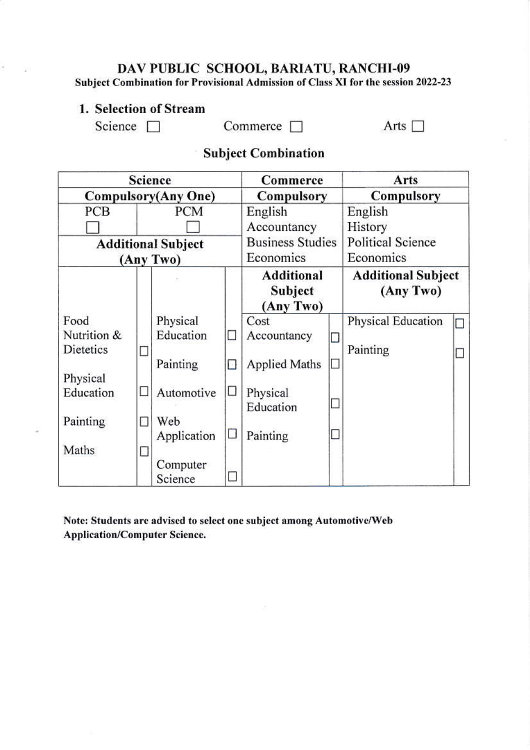# DAV PUBLIC SCHOOL, BARIATU, RANCHI-09<br>Subject Combination for Provisional Admission of Class XI for the session 2022-23

### 1. Selection of Stream

Science  $\Box$ 

 $\epsilon$ 

Commerce  $\Box$ 

Arts  $\Box$ 

## **Subject Combination**

|                           | Science                    |                     | Commerce   |                                           | Arts                     |                                        |  |  |
|---------------------------|----------------------------|---------------------|------------|-------------------------------------------|--------------------------|----------------------------------------|--|--|
|                           | <b>Compulsory(Any One)</b> |                     | Compulsory |                                           | Compulsory               |                                        |  |  |
| PCM<br>PCB                |                            |                     | English    |                                           | English                  |                                        |  |  |
|                           |                            |                     |            | Accountancy                               |                          | History                                |  |  |
| <b>Additional Subject</b> |                            |                     |            | <b>Business Studies</b><br>Economics      |                          | <b>Political Science</b><br>Economics  |  |  |
| (Any Two)                 |                            |                     |            |                                           |                          |                                        |  |  |
|                           |                            |                     |            | <b>Additional</b><br>Subject<br>(Any Two) |                          | <b>Additional Subject</b><br>(Any Two) |  |  |
| Food                      |                            | Physical            |            | Cost                                      |                          | Physical Education                     |  |  |
| Nutrition &               |                            | Education           | m.         | Accountancy                               | U                        |                                        |  |  |
| Dietetics                 |                            | Painting            | П          | <b>Applied Maths</b>                      | $\overline{\phantom{a}}$ | Painting                               |  |  |
| Physical                  |                            |                     |            |                                           |                          |                                        |  |  |
| Education                 | r                          | Automotive          | ⊔          | Physical<br>Education                     | u                        |                                        |  |  |
| Painting                  |                            | Web<br>Application  | П          | Painting                                  | $\Box$                   |                                        |  |  |
| Maths                     |                            |                     |            |                                           |                          |                                        |  |  |
|                           |                            | Computer<br>Science |            |                                           |                          |                                        |  |  |

Note: Students are advised to select one subject among Automotive/Web **Application/Computer Science.**